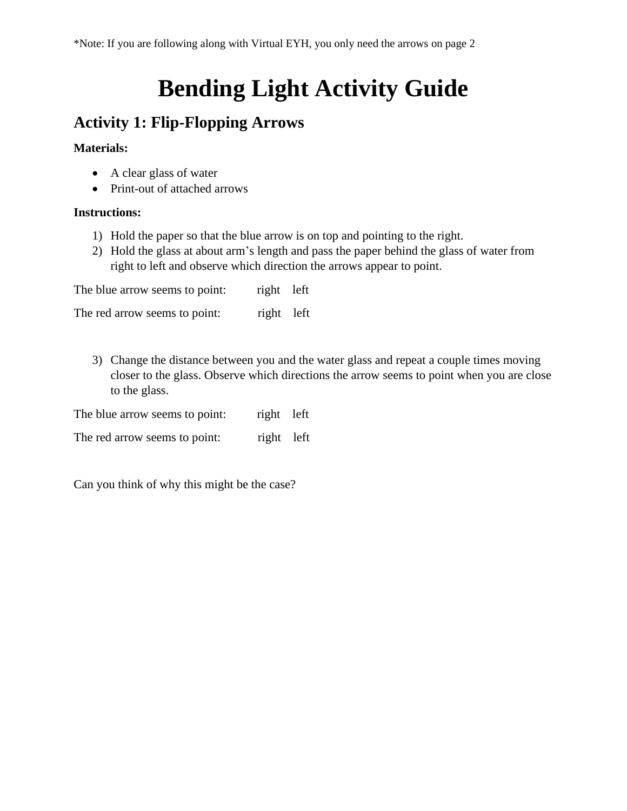# **Bending Light Activity Guide**

### **Activity 1: Flip-Flopping Arrows**

#### **Materials:**

- A clear glass of water
- Print-out of attached arrows

#### **Instructions:**

- 1) Hold the paper so that the blue arrow is on top and pointing to the right.
- 2) Hold the glass at about arm's length and pass the paper behind the glass of water from right to left and observe which direction the arrows appear to point.

The blue arrow seems to point: right left

The red arrow seems to point: right left

3) Change the distance between you and the water glass and repeat a couple times moving closer to the glass. Observe which directions the arrow seems to point when you are close to the glass.

| The blue arrow seems to point: | right left |  |
|--------------------------------|------------|--|
|--------------------------------|------------|--|

The red arrow seems to point: right left

Can you think of why this might be the case?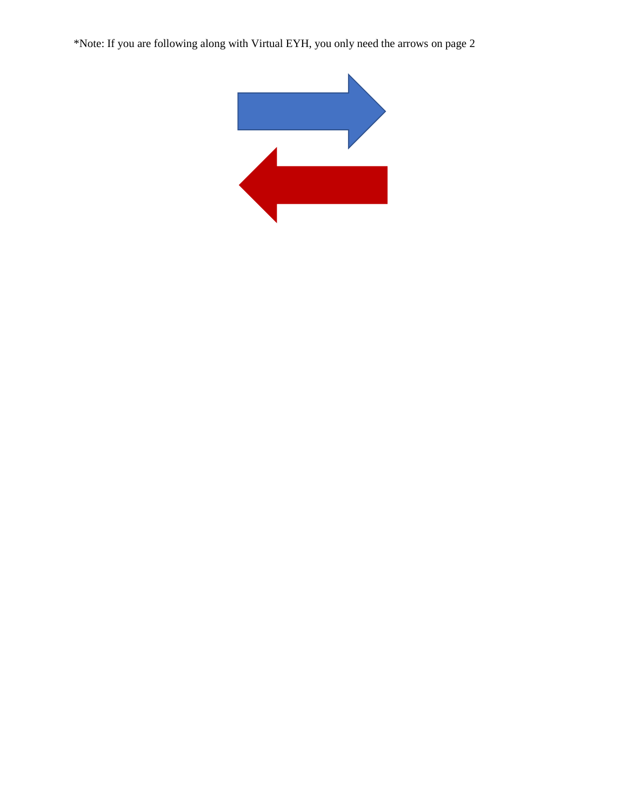\*Note: If you are following along with Virtual EYH, you only need the arrows on page 2

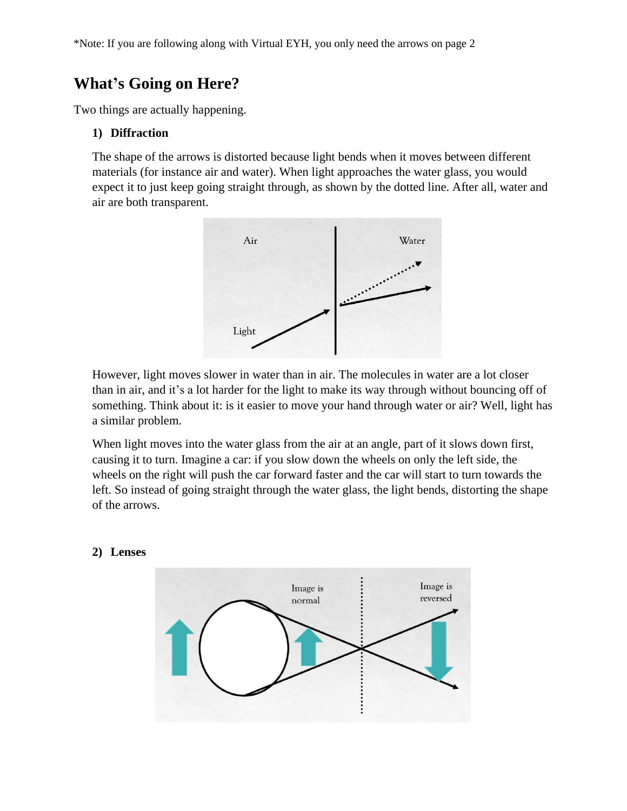### **What's Going on Here?**

Two things are actually happening.

#### **1) Diffraction**

The shape of the arrows is distorted because light bends when it moves between different materials (for instance air and water). When light approaches the water glass, you would expect it to just keep going straight through, as shown by the dotted line. After all, water and air are both transparent.



However, light moves slower in water than in air. The molecules in water are a lot closer than in air, and it's a lot harder for the light to make its way through without bouncing off of something. Think about it: is it easier to move your hand through water or air? Well, light has a similar problem.

When light moves into the water glass from the air at an angle, part of it slows down first, causing it to turn. Imagine a car: if you slow down the wheels on only the left side, the wheels on the right will push the car forward faster and the car will start to turn towards the left. So instead of going straight through the water glass, the light bends, distorting the shape of the arrows.

#### **2) Lenses**

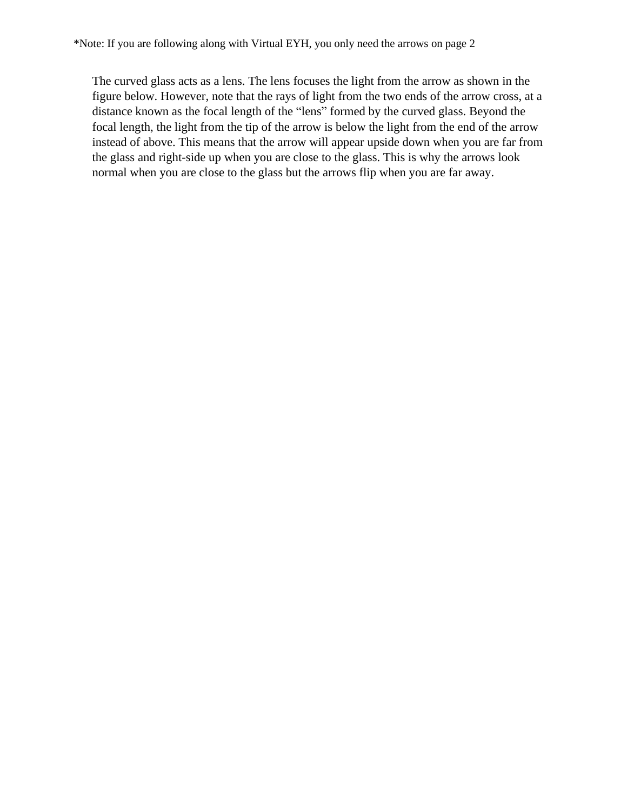The curved glass acts as a lens. The lens focuses the light from the arrow as shown in the figure below. However, note that the rays of light from the two ends of the arrow cross, at a distance known as the focal length of the "lens" formed by the curved glass. Beyond the focal length, the light from the tip of the arrow is below the light from the end of the arrow instead of above. This means that the arrow will appear upside down when you are far from the glass and right-side up when you are close to the glass. This is why the arrows look normal when you are close to the glass but the arrows flip when you are far away.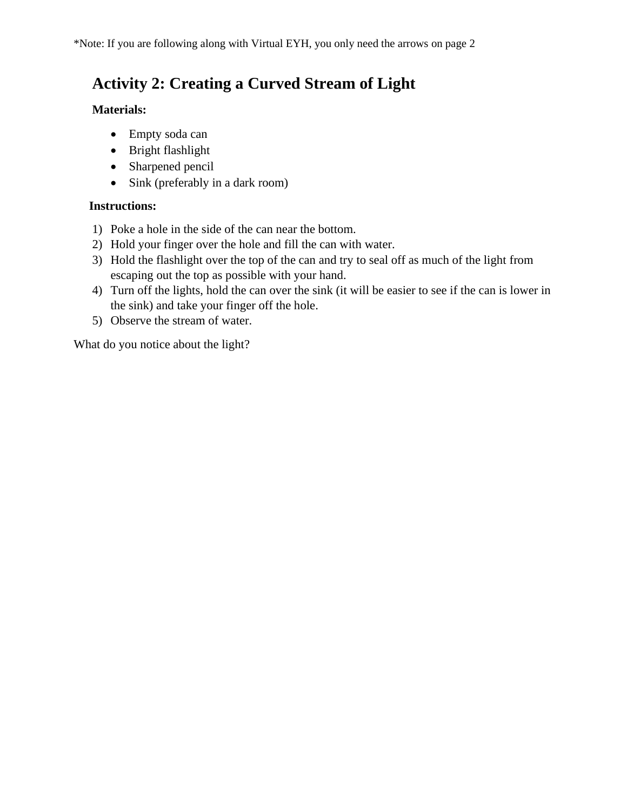## **Activity 2: Creating a Curved Stream of Light**

#### **Materials:**

- Empty soda can
- Bright flashlight
- Sharpened pencil
- Sink (preferably in a dark room)

### **Instructions:**

- 1) Poke a hole in the side of the can near the bottom.
- 2) Hold your finger over the hole and fill the can with water.
- 3) Hold the flashlight over the top of the can and try to seal off as much of the light from escaping out the top as possible with your hand.
- 4) Turn off the lights, hold the can over the sink (it will be easier to see if the can is lower in the sink) and take your finger off the hole.
- 5) Observe the stream of water.

What do you notice about the light?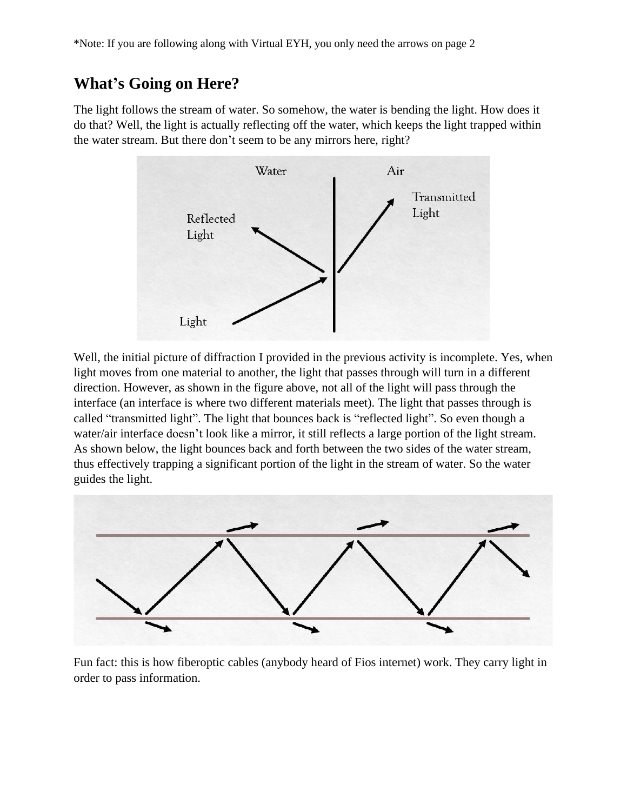### **What's Going on Here?**

The light follows the stream of water. So somehow, the water is bending the light. How does it do that? Well, the light is actually reflecting off the water, which keeps the light trapped within the water stream. But there don't seem to be any mirrors here, right?



Well, the initial picture of diffraction I provided in the previous activity is incomplete. Yes, when light moves from one material to another, the light that passes through will turn in a different direction. However, as shown in the figure above, not all of the light will pass through the interface (an interface is where two different materials meet). The light that passes through is called "transmitted light". The light that bounces back is "reflected light". So even though a water/air interface doesn't look like a mirror, it still reflects a large portion of the light stream. As shown below, the light bounces back and forth between the two sides of the water stream, thus effectively trapping a significant portion of the light in the stream of water. So the water guides the light.



Fun fact: this is how fiberoptic cables (anybody heard of Fios internet) work. They carry light in order to pass information.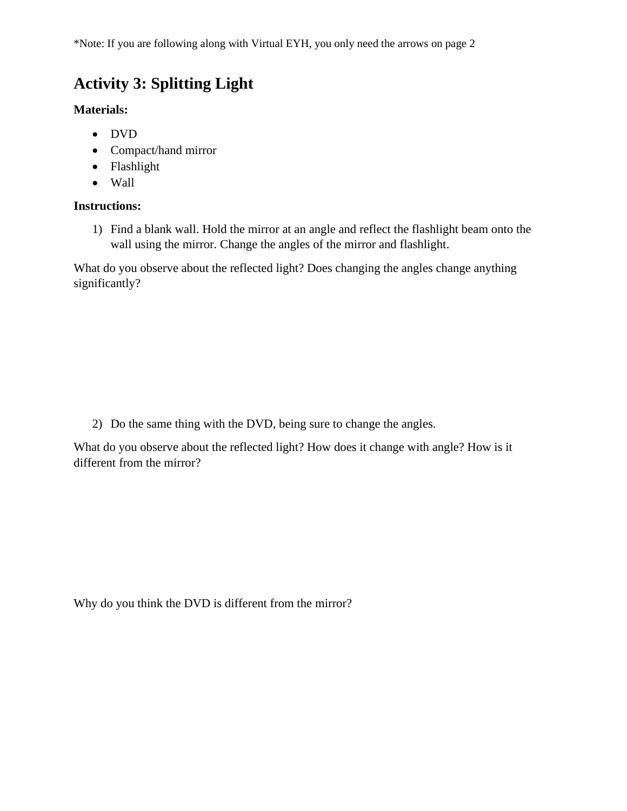\*Note: If you are following along with Virtual EYH, you only need the arrows on page 2

### **Activity 3: Splitting Light**

**Materials:**

- DVD
- Compact/hand mirror
- Flashlight
- Wall

#### **Instructions:**

1) Find a blank wall. Hold the mirror at an angle and reflect the flashlight beam onto the wall using the mirror. Change the angles of the mirror and flashlight.

What do you observe about the reflected light? Does changing the angles change anything significantly?

2) Do the same thing with the DVD, being sure to change the angles.

What do you observe about the reflected light? How does it change with angle? How is it different from the mirror?

Why do you think the DVD is different from the mirror?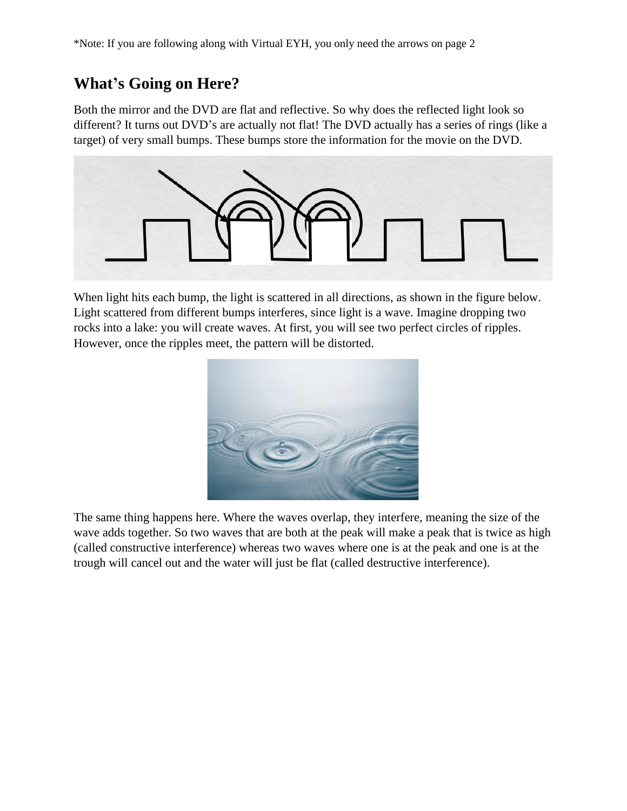### **What's Going on Here?**

Both the mirror and the DVD are flat and reflective. So why does the reflected light look so different? It turns out DVD's are actually not flat! The DVD actually has a series of rings (like a target) of very small bumps. These bumps store the information for the movie on the DVD.



When light hits each bump, the light is scattered in all directions, as shown in the figure below. Light scattered from different bumps interferes, since light is a wave. Imagine dropping two rocks into a lake: you will create waves. At first, you will see two perfect circles of ripples. However, once the ripples meet, the pattern will be distorted.



The same thing happens here. Where the waves overlap, they interfere, meaning the size of the wave adds together. So two waves that are both at the peak will make a peak that is twice as high (called constructive interference) whereas two waves where one is at the peak and one is at the trough will cancel out and the water will just be flat (called destructive interference).